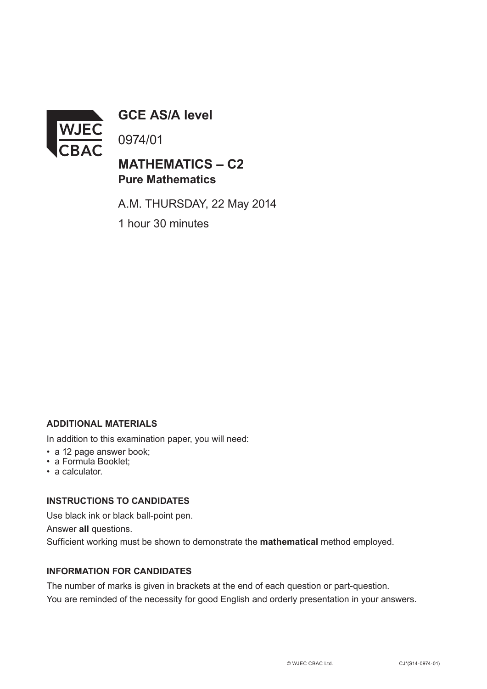

**GCE AS/A level**

0974/01

## **MATHEMATICS – C2 Pure Mathematics**

A.M. THURSDAY, 22 May 2014

1 hour 30 minutes

## **ADDITIONAL MATERIALS**

In addition to this examination paper, you will need:

- a 12 page answer book;
- a Formula Booklet;
- a calculator.

### **INSTRUCTIONS TO CANDIDATES**

Use black ink or black ball-point pen. Answer **all** questions. Sufficient working must be shown to demonstrate the **mathematical** method employed.

## **INFORMATION FOR CANDIDATES**

The number of marks is given in brackets at the end of each question or part-question. You are reminded of the necessity for good English and orderly presentation in your answers.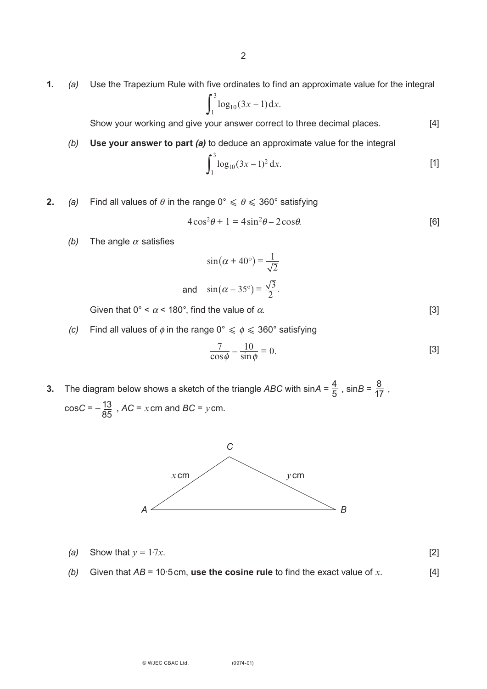**1.** *(a)* Use the Trapezium Rule with five ordinates to find an approximate value for the integral

$$
\int_1^3 \log_{10}(3x-1) \, \mathrm{d}x.
$$

Show your working and give your answer correct to three decimal places. [4]

*(b)* **Use your answer to part** *(a)* to deduce an approximate value for the integral

$$
\int_{1}^{3} \log_{10}(3x-1)^2 \, \mathrm{d}x. \tag{1}
$$

**2.** *(a)* Find all values of  $\theta$  in the range  $0^{\circ} \le \theta \le 360^{\circ}$  satisfying

$$
4\cos^2\theta + 1 = 4\sin^2\theta - 2\cos\theta.
$$
 [6]

*(b)* The angle  $\alpha$  satisfies

$$
\sin(\alpha + 40^{\circ}) = \frac{1}{\sqrt{2}}
$$
  
and 
$$
\sin(\alpha - 35^{\circ}) = \frac{\sqrt{3}}{2}.
$$

Given that  $0^{\circ} < \alpha < 180^{\circ}$ , find the value of  $\alpha$ . [3]

*(c)* Find all values of  $\phi$  in the range 0°  $\leq \phi \leq 360$ ° satisfying

$$
\frac{7}{\cos \phi} - \frac{10}{\sin \phi} = 0.
$$
 [3]

**3.** The diagram below shows a sketch of the triangle *ABC* with sin $A = \frac{4}{5}$ , sin $B = \frac{8}{17}$ ,  $\cos C = -\frac{13}{3}$ ,  $AC = x$  cm and  $BC = y$  cm. 5 8 17 85



(a) Show that 
$$
y = 1.7x
$$
. [2]

*(b)* Given that  $AB = 10.5$  cm, **use the cosine rule** to find the exact value of *x*.  $[4]$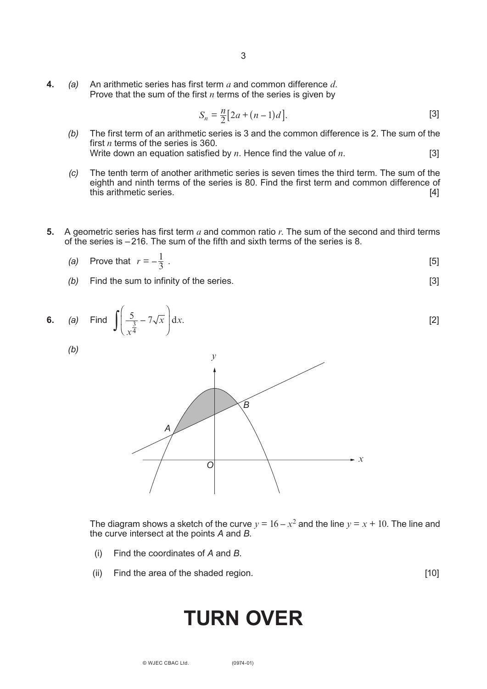**4.** *(a)* An arithmetic series has first term *a* and common difference *d*. Prove that the sum of the first *n* terms of the series is given by

$$
S_n = \frac{n}{2} [2a + (n-1)d].
$$
 [3]

- *(b)* The first term of an arithmetic series is 3 and the common difference is 2. The sum of the first *n* terms of the series is 360. Write down an equation satisfied by *n*. Hence find the value of *n*. [3]
- *(c)* The tenth term of another arithmetic series is seven times the third term. The sum of the eighth and ninth terms of the series is 80. Find the first term and common difference of this arithmetic series. [4]
- **5.** A geometric series has first term *a* and common ratio *r*. The sum of the second and third terms of the series is –216. The sum of the fifth and sixth terms of the series is 8.

(a) Prove that 
$$
r = -\frac{1}{3}
$$
. [5]

*(b)* Find the sum to infinity of the series. [3]





The diagram shows a sketch of the curve  $y = 16 - x^2$  and the line  $y = x + 10$ . The line and the curve intersect at the points *A* and *B*.

(i) Find the coordinates of *A* and *B*.

*(b)*

(ii) Find the area of the shaded region. [10]

# **TURN OVER**